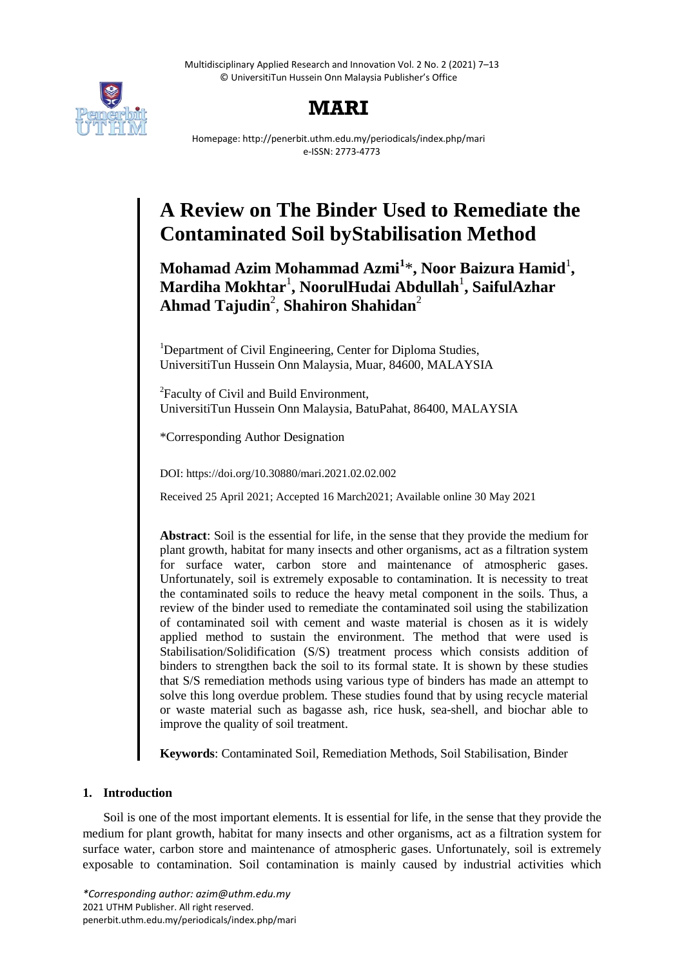Multidisciplinary Applied Research and Innovation Vol. 2 No. 2 (2021) 7–13 © UniversitiTun Hussein Onn Malaysia Publisher's Office



# **MARI**

Homepage: http://penerbit.uthm.edu.my/periodicals/index.php/mari e-ISSN: 2773-4773

# **A Review on The Binder Used to Remediate the Contaminated Soil byStabilisation Method**

**Mohamad Azim Mohammad Azmi<sup>1</sup>** \***, Noor Baizura Hamid**<sup>1</sup> **, Mardiha Mokhtar**<sup>1</sup> **, NoorulHudai Abdullah**<sup>1</sup> **, SaifulAzhar Ahmad Tajudin**<sup>2</sup> , **Shahiron Shahidan**<sup>2</sup>

<sup>1</sup>Department of Civil Engineering, Center for Diploma Studies, UniversitiTun Hussein Onn Malaysia, Muar, 84600, MALAYSIA

<sup>2</sup> Faculty of Civil and Build Environment, UniversitiTun Hussein Onn Malaysia, BatuPahat, 86400, MALAYSIA

\*Corresponding Author Designation

DOI: https://doi.org/10.30880/mari.2021.02.02.002

Received 25 April 2021; Accepted 16 March2021; Available online 30 May 2021

**Abstract**: Soil is the essential for life, in the sense that they provide the medium for plant growth, habitat for many insects and other organisms, act as a filtration system for surface water, carbon store and maintenance of atmospheric gases. Unfortunately, soil is extremely exposable to contamination. It is necessity to treat the contaminated soils to reduce the heavy metal component in the soils. Thus, a review of the binder used to remediate the contaminated soil using the stabilization of contaminated soil with cement and waste material is chosen as it is widely applied method to sustain the environment. The method that were used is Stabilisation/Solidification (S/S) treatment process which consists addition of binders to strengthen back the soil to its formal state. It is shown by these studies that S/S remediation methods using various type of binders has made an attempt to solve this long overdue problem. These studies found that by using recycle material or waste material such as bagasse ash, rice husk, sea-shell, and biochar able to improve the quality of soil treatment.

**Keywords**: Contaminated Soil, Remediation Methods, Soil Stabilisation, Binder

# **1. Introduction**

Soil is one of the most important elements. It is essential for life, in the sense that they provide the medium for plant growth, habitat for many insects and other organisms, act as a filtration system for surface water, carbon store and maintenance of atmospheric gases. Unfortunately, soil is extremely exposable to contamination. Soil contamination is mainly caused by industrial activities which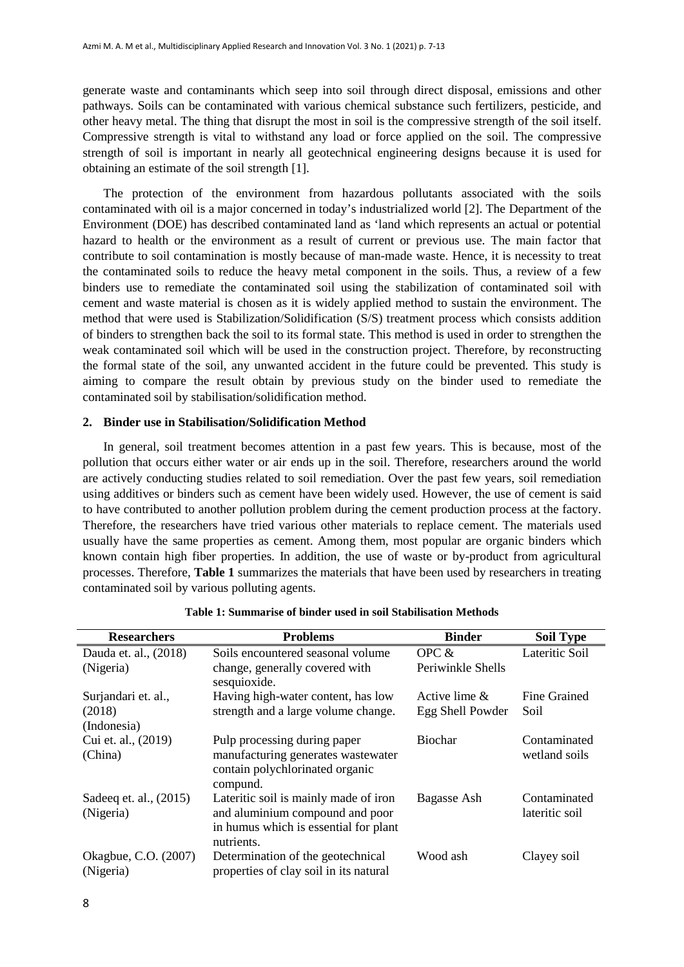generate waste and contaminants which seep into soil through direct disposal, emissions and other pathways. Soils can be contaminated with various chemical substance such fertilizers, pesticide, and other heavy metal. The thing that disrupt the most in soil is the compressive strength of the soil itself. Compressive strength is vital to withstand any load or force applied on the soil. The compressive strength of soil is important in nearly all geotechnical engineering designs because it is used for obtaining an estimate of the soil strength [1].

The protection of the environment from hazardous pollutants associated with the soils contaminated with oil is a major concerned in today's industrialized world [2]. The Department of the Environment (DOE) has described contaminated land as 'land which represents an actual or potential hazard to health or the environment as a result of current or previous use. The main factor that contribute to soil contamination is mostly because of man-made waste. Hence, it is necessity to treat the contaminated soils to reduce the heavy metal component in the soils. Thus, a review of a few binders use to remediate the contaminated soil using the stabilization of contaminated soil with cement and waste material is chosen as it is widely applied method to sustain the environment. The method that were used is Stabilization/Solidification (S/S) treatment process which consists addition of binders to strengthen back the soil to its formal state. This method is used in order to strengthen the weak contaminated soil which will be used in the construction project. Therefore, by reconstructing the formal state of the soil, any unwanted accident in the future could be prevented. This study is aiming to compare the result obtain by previous study on the binder used to remediate the contaminated soil by stabilisation/solidification method.

#### **2. Binder use in Stabilisation/Solidification Method**

In general, soil treatment becomes attention in a past few years. This is because, most of the pollution that occurs either water or air ends up in the soil. Therefore, researchers around the world are actively conducting studies related to soil remediation. Over the past few years, soil remediation using additives or binders such as cement have been widely used. However, the use of cement is said to have contributed to another pollution problem during the cement production process at the factory. Therefore, the researchers have tried various other materials to replace cement. The materials used usually have the same properties as cement. Among them, most popular are organic binders which known contain high fiber properties. In addition, the use of waste or by-product from agricultural processes. Therefore, **Table 1** summarizes the materials that have been used by researchers in treating contaminated soil by various polluting agents.

| <b>Researchers</b>                            | <b>Problems</b>                                                                                                                    | <b>Binder</b>                        | <b>Soil Type</b>               |
|-----------------------------------------------|------------------------------------------------------------------------------------------------------------------------------------|--------------------------------------|--------------------------------|
| Dauda et. al., (2018)<br>(Nigeria)            | Soils encountered seasonal volume<br>change, generally covered with                                                                | OPC $&$<br>Periwinkle Shells         | Lateritic Soil                 |
| Surjandari et. al.,<br>(2018)                 | sesquioxide.<br>Having high-water content, has low<br>strength and a large volume change.                                          | Active lime $\&$<br>Egg Shell Powder | Fine Grained<br>Soil           |
| (Indonesia)<br>Cui et. al., (2019)<br>(China) | Pulp processing during paper<br>manufacturing generates wastewater                                                                 | <b>Biochar</b>                       | Contaminated<br>wetland soils  |
| Sade eq et. al., (2015)<br>(Nigeria)          | contain polychlorinated organic<br>compund.<br>Lateritic soil is mainly made of iron<br>and aluminium compound and poor            | Bagasse Ash                          | Contaminated<br>lateritic soil |
| Okagbue, C.O. (2007)<br>(Nigeria)             | in humus which is essential for plant<br>nutrients.<br>Determination of the geotechnical<br>properties of clay soil in its natural | Wood ash                             | Clayey soil                    |

**Table 1: Summarise of binder used in soil Stabilisation Methods**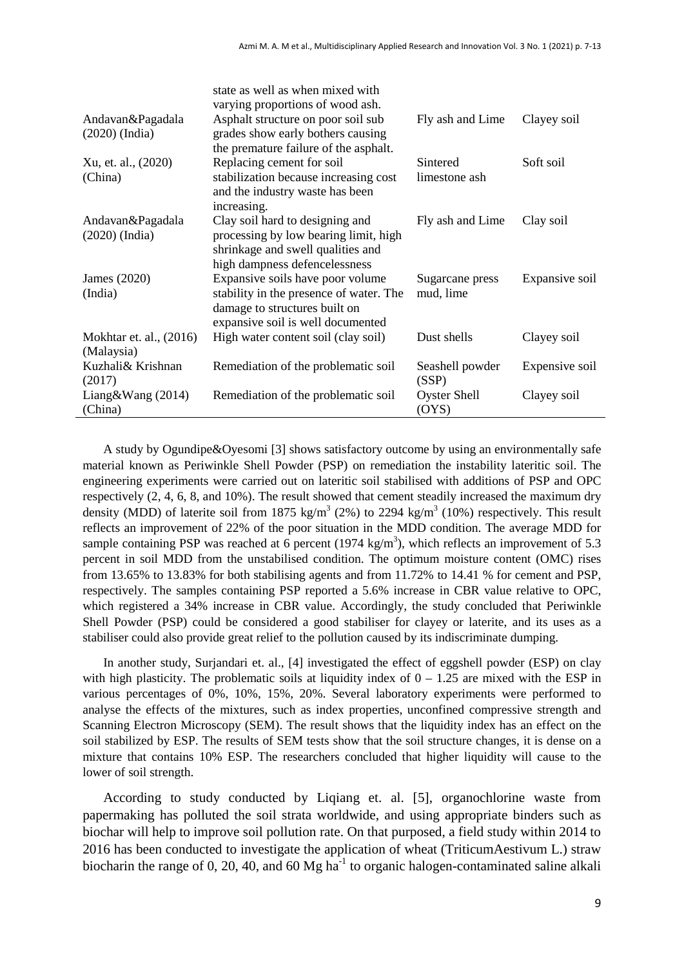|                                       | state as well as when mixed with<br>varying proportions of wood ash.                                                                              |                              |                |
|---------------------------------------|---------------------------------------------------------------------------------------------------------------------------------------------------|------------------------------|----------------|
| Andavan&Pagadala                      | Asphalt structure on poor soil sub                                                                                                                | Fly ash and Lime             | Clayey soil    |
| $(2020)$ (India)                      | grades show early bothers causing<br>the premature failure of the asphalt.                                                                        |                              |                |
| Xu, et. al., (2020)                   | Replacing cement for soil                                                                                                                         | Sintered                     | Soft soil      |
| (China)                               | stabilization because increasing cost<br>and the industry waste has been<br>increasing.                                                           | limestone ash                |                |
| Andavan&Pagadala<br>$(2020)$ (India)  | Clay soil hard to designing and<br>processing by low bearing limit, high<br>shrinkage and swell qualities and<br>high dampness defencelessness    | Fly ash and Lime             | Clay soil      |
| James (2020)<br>(India)               | Expansive soils have poor volume<br>stability in the presence of water. The<br>damage to structures built on<br>expansive soil is well documented | Sugarcane press<br>mud, lime | Expansive soil |
| Mokhtar et. al., (2016)<br>(Malaysia) | High water content soil (clay soil)                                                                                                               | Dust shells                  | Clayey soil    |
| Kuzhali& Krishnan<br>(2017)           | Remediation of the problematic soil                                                                                                               | Seashell powder<br>(SSP)     | Expensive soil |
| Liang&Wang $(2014)$<br>(China)        | Remediation of the problematic soil                                                                                                               | <b>Oyster Shell</b><br>(OYS) | Clayey soil    |

A study by Ogundipe&Oyesomi [3] shows satisfactory outcome by using an environmentally safe material known as Periwinkle Shell Powder (PSP) on remediation the instability lateritic soil. The engineering experiments were carried out on lateritic soil stabilised with additions of PSP and OPC respectively (2, 4, 6, 8, and 10%). The result showed that cement steadily increased the maximum dry density (MDD) of laterite soil from 1875 kg/m<sup>3</sup> (2%) to 2294 kg/m<sup>3</sup> (10%) respectively. This result reflects an improvement of 22% of the poor situation in the MDD condition. The average MDD for sample containing PSP was reached at 6 percent (1974 kg/m<sup>3</sup>), which reflects an improvement of 5.3 percent in soil MDD from the unstabilised condition. The optimum moisture content (OMC) rises from 13.65% to 13.83% for both stabilising agents and from 11.72% to 14.41 % for cement and PSP, respectively. The samples containing PSP reported a 5.6% increase in CBR value relative to OPC, which registered a 34% increase in CBR value. Accordingly, the study concluded that Periwinkle Shell Powder (PSP) could be considered a good stabiliser for clayey or laterite, and its uses as a stabiliser could also provide great relief to the pollution caused by its indiscriminate dumping.

In another study, Surjandari et. al., [4] investigated the effect of eggshell powder (ESP) on clay with high plasticity. The problematic soils at liquidity index of  $0 - 1.25$  are mixed with the ESP in various percentages of 0%, 10%, 15%, 20%. Several laboratory experiments were performed to analyse the effects of the mixtures, such as index properties, unconfined compressive strength and Scanning Electron Microscopy (SEM). The result shows that the liquidity index has an effect on the soil stabilized by ESP. The results of SEM tests show that the soil structure changes, it is dense on a mixture that contains 10% ESP. The researchers concluded that higher liquidity will cause to the lower of soil strength.

According to study conducted by Liqiang et. al. [5], organochlorine waste from papermaking has polluted the soil strata worldwide, and using appropriate binders such as biochar will help to improve soil pollution rate. On that purposed, a field study within 2014 to 2016 has been conducted to investigate the application of wheat (TriticumAestivum L.) straw biocharin the range of 0, 20, 40, and 60 Mg  $ha^{-1}$  to organic halogen-contaminated saline alkali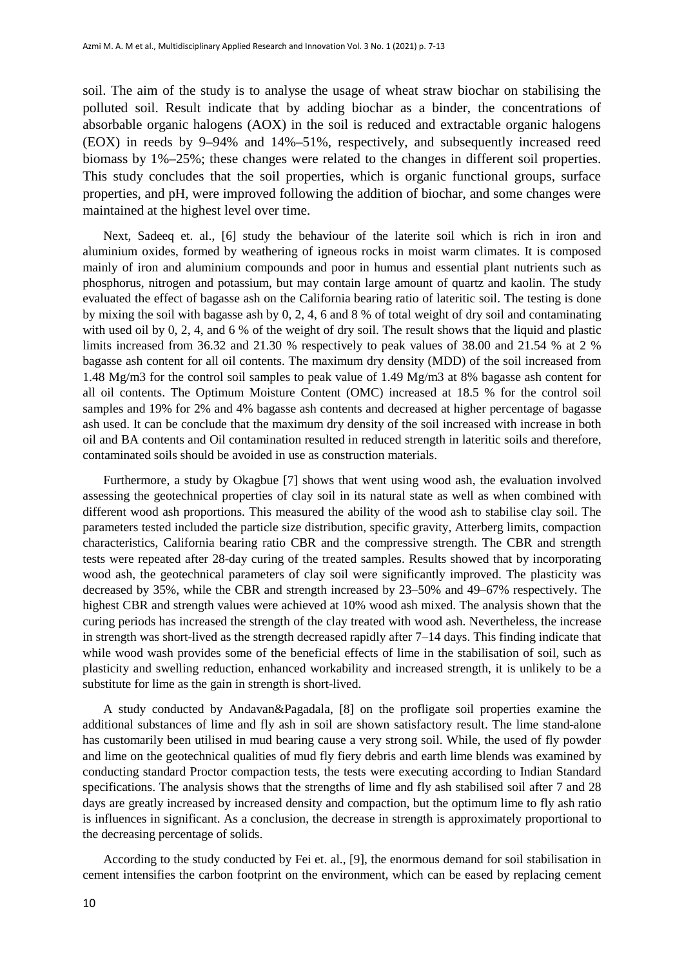soil. The aim of the study is to analyse the usage of wheat straw biochar on stabilising the polluted soil. Result indicate that by adding biochar as a binder, the concentrations of absorbable organic halogens (AOX) in the soil is reduced and extractable organic halogens (EOX) in reeds by 9–94% and 14%–51%, respectively, and subsequently increased reed biomass by 1%–25%; these changes were related to the changes in different soil properties. This study concludes that the soil properties, which is organic functional groups, surface properties, and pH, were improved following the addition of biochar, and some changes were maintained at the highest level over time.

Next, Sadeeq et. al., [6] study the behaviour of the laterite soil which is rich in iron and aluminium oxides, formed by weathering of igneous rocks in moist warm climates. It is composed mainly of iron and aluminium compounds and poor in humus and essential plant nutrients such as phosphorus, nitrogen and potassium, but may contain large amount of quartz and kaolin. The study evaluated the effect of bagasse ash on the California bearing ratio of lateritic soil. The testing is done by mixing the soil with bagasse ash by 0, 2, 4, 6 and 8 % of total weight of dry soil and contaminating with used oil by 0, 2, 4, and 6 % of the weight of dry soil. The result shows that the liquid and plastic limits increased from 36.32 and 21.30 % respectively to peak values of 38.00 and 21.54 % at 2 % bagasse ash content for all oil contents. The maximum dry density (MDD) of the soil increased from 1.48 Mg/m3 for the control soil samples to peak value of 1.49 Mg/m3 at 8% bagasse ash content for all oil contents. The Optimum Moisture Content (OMC) increased at 18.5 % for the control soil samples and 19% for 2% and 4% bagasse ash contents and decreased at higher percentage of bagasse ash used. It can be conclude that the maximum dry density of the soil increased with increase in both oil and BA contents and Oil contamination resulted in reduced strength in lateritic soils and therefore, contaminated soils should be avoided in use as construction materials.

Furthermore, a study by Okagbue [7] shows that went using wood ash, the evaluation involved assessing the geotechnical properties of clay soil in its natural state as well as when combined with different wood ash proportions. This measured the ability of the wood ash to stabilise clay soil. The parameters tested included the particle size distribution, specific gravity, Atterberg limits, compaction characteristics, California bearing ratio CBR and the compressive strength. The CBR and strength tests were repeated after 28-day curing of the treated samples. Results showed that by incorporating wood ash, the geotechnical parameters of clay soil were significantly improved. The plasticity was decreased by 35%, while the CBR and strength increased by 23–50% and 49–67% respectively. The highest CBR and strength values were achieved at 10% wood ash mixed. The analysis shown that the curing periods has increased the strength of the clay treated with wood ash. Nevertheless, the increase in strength was short-lived as the strength decreased rapidly after 7–14 days. This finding indicate that while wood wash provides some of the beneficial effects of lime in the stabilisation of soil, such as plasticity and swelling reduction, enhanced workability and increased strength, it is unlikely to be a substitute for lime as the gain in strength is short-lived.

A study conducted by Andavan&Pagadala, [8] on the profligate soil properties examine the additional substances of lime and fly ash in soil are shown satisfactory result. The lime stand-alone has customarily been utilised in mud bearing cause a very strong soil. While, the used of fly powder and lime on the geotechnical qualities of mud fly fiery debris and earth lime blends was examined by conducting standard Proctor compaction tests, the tests were executing according to Indian Standard specifications. The analysis shows that the strengths of lime and fly ash stabilised soil after 7 and 28 days are greatly increased by increased density and compaction, but the optimum lime to fly ash ratio is influences in significant. As a conclusion, the decrease in strength is approximately proportional to the decreasing percentage of solids.

According to the study conducted by Fei et. al., [9], the enormous demand for soil stabilisation in cement intensifies the carbon footprint on the environment, which can be eased by replacing cement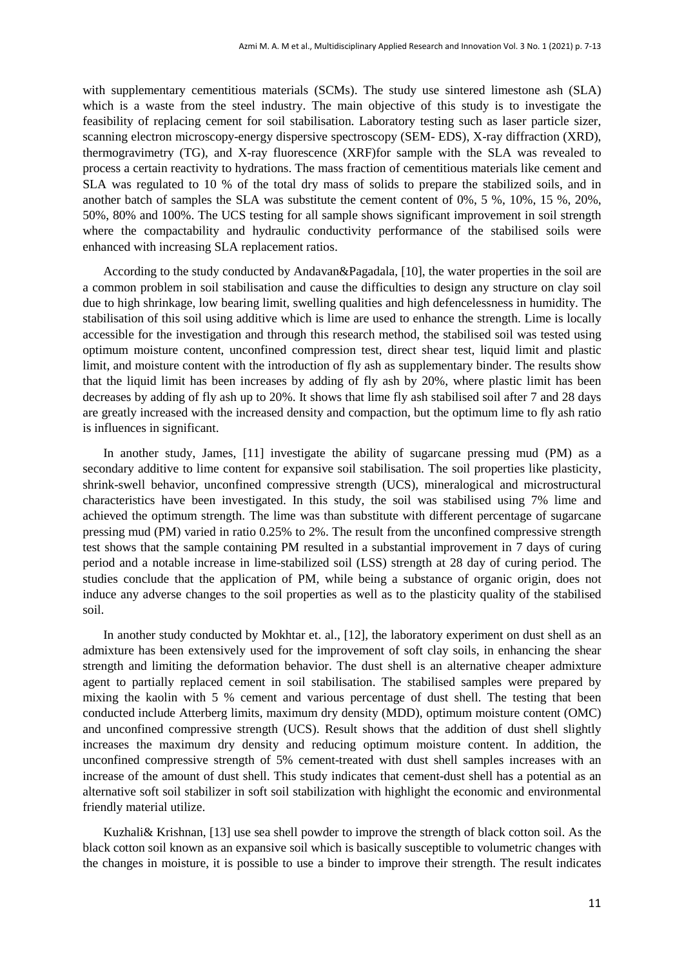with supplementary cementitious materials (SCMs). The study use sintered limestone ash (SLA) which is a waste from the steel industry. The main objective of this study is to investigate the feasibility of replacing cement for soil stabilisation. Laboratory testing such as laser particle sizer, scanning electron microscopy-energy dispersive spectroscopy (SEM- EDS), X-ray diffraction (XRD), thermogravimetry (TG), and X-ray fluorescence (XRF)for sample with the SLA was revealed to process a certain reactivity to hydrations. The mass fraction of cementitious materials like cement and SLA was regulated to 10 % of the total dry mass of solids to prepare the stabilized soils, and in another batch of samples the SLA was substitute the cement content of 0%, 5 %, 10%, 15 %, 20%, 50%, 80% and 100%. The UCS testing for all sample shows significant improvement in soil strength where the compactability and hydraulic conductivity performance of the stabilised soils were enhanced with increasing SLA replacement ratios.

According to the study conducted by Andavan&Pagadala, [10], the water properties in the soil are a common problem in soil stabilisation and cause the difficulties to design any structure on clay soil due to high shrinkage, low bearing limit, swelling qualities and high defencelessness in humidity. The stabilisation of this soil using additive which is lime are used to enhance the strength. Lime is locally accessible for the investigation and through this research method, the stabilised soil was tested using optimum moisture content, unconfined compression test, direct shear test, liquid limit and plastic limit, and moisture content with the introduction of fly ash as supplementary binder. The results show that the liquid limit has been increases by adding of fly ash by 20%, where plastic limit has been decreases by adding of fly ash up to 20%. It shows that lime fly ash stabilised soil after 7 and 28 days are greatly increased with the increased density and compaction, but the optimum lime to fly ash ratio is influences in significant.

In another study, James, [11] investigate the ability of sugarcane pressing mud (PM) as a secondary additive to lime content for expansive soil stabilisation. The soil properties like plasticity, shrink-swell behavior, unconfined compressive strength (UCS), mineralogical and microstructural characteristics have been investigated. In this study, the soil was stabilised using 7% lime and achieved the optimum strength. The lime was than substitute with different percentage of sugarcane pressing mud (PM) varied in ratio 0.25% to 2%. The result from the unconfined compressive strength test shows that the sample containing PM resulted in a substantial improvement in 7 days of curing period and a notable increase in lime-stabilized soil (LSS) strength at 28 day of curing period. The studies conclude that the application of PM, while being a substance of organic origin, does not induce any adverse changes to the soil properties as well as to the plasticity quality of the stabilised soil.

In another study conducted by Mokhtar et. al., [12], the laboratory experiment on dust shell as an admixture has been extensively used for the improvement of soft clay soils, in enhancing the shear strength and limiting the deformation behavior. The dust shell is an alternative cheaper admixture agent to partially replaced cement in soil stabilisation. The stabilised samples were prepared by mixing the kaolin with 5 % cement and various percentage of dust shell. The testing that been conducted include Atterberg limits, maximum dry density (MDD), optimum moisture content (OMC) and unconfined compressive strength (UCS). Result shows that the addition of dust shell slightly increases the maximum dry density and reducing optimum moisture content. In addition, the unconfined compressive strength of 5% cement-treated with dust shell samples increases with an increase of the amount of dust shell. This study indicates that cement-dust shell has a potential as an alternative soft soil stabilizer in soft soil stabilization with highlight the economic and environmental friendly material utilize.

Kuzhali& Krishnan, [13] use sea shell powder to improve the strength of black cotton soil. As the black cotton soil known as an expansive soil which is basically susceptible to volumetric changes with the changes in moisture, it is possible to use a binder to improve their strength. The result indicates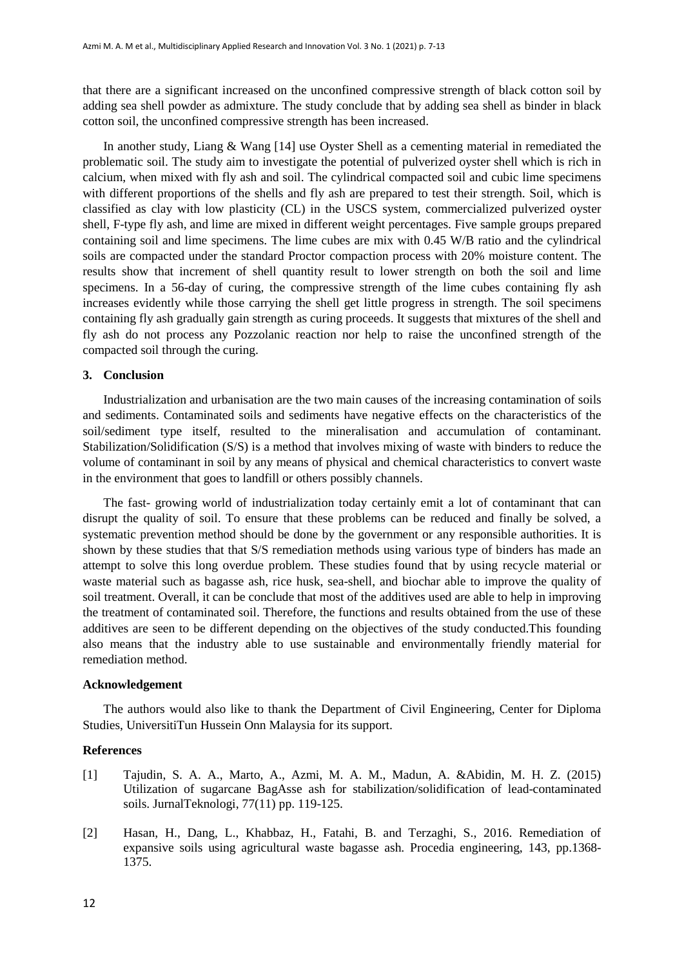that there are a significant increased on the unconfined compressive strength of black cotton soil by adding sea shell powder as admixture. The study conclude that by adding sea shell as binder in black cotton soil, the unconfined compressive strength has been increased.

In another study, Liang & Wang [14] use Oyster Shell as a cementing material in remediated the problematic soil. The study aim to investigate the potential of pulverized oyster shell which is rich in calcium, when mixed with fly ash and soil. The cylindrical compacted soil and cubic lime specimens with different proportions of the shells and fly ash are prepared to test their strength. Soil, which is classified as clay with low plasticity (CL) in the USCS system, commercialized pulverized oyster shell, F-type fly ash, and lime are mixed in different weight percentages. Five sample groups prepared containing soil and lime specimens. The lime cubes are mix with 0.45 W/B ratio and the cylindrical soils are compacted under the standard Proctor compaction process with 20% moisture content. The results show that increment of shell quantity result to lower strength on both the soil and lime specimens. In a 56-day of curing, the compressive strength of the lime cubes containing fly ash increases evidently while those carrying the shell get little progress in strength. The soil specimens containing fly ash gradually gain strength as curing proceeds. It suggests that mixtures of the shell and fly ash do not process any Pozzolanic reaction nor help to raise the unconfined strength of the compacted soil through the curing.

# **3. Conclusion**

Industrialization and urbanisation are the two main causes of the increasing contamination of soils and sediments. Contaminated soils and sediments have negative effects on the characteristics of the soil/sediment type itself, resulted to the mineralisation and accumulation of contaminant. Stabilization/Solidification (S/S) is a method that involves mixing of waste with binders to reduce the volume of contaminant in soil by any means of physical and chemical characteristics to convert waste in the environment that goes to landfill or others possibly channels.

The fast- growing world of industrialization today certainly emit a lot of contaminant that can disrupt the quality of soil. To ensure that these problems can be reduced and finally be solved, a systematic prevention method should be done by the government or any responsible authorities. It is shown by these studies that that S/S remediation methods using various type of binders has made an attempt to solve this long overdue problem. These studies found that by using recycle material or waste material such as bagasse ash, rice husk, sea-shell, and biochar able to improve the quality of soil treatment. Overall, it can be conclude that most of the additives used are able to help in improving the treatment of contaminated soil. Therefore, the functions and results obtained from the use of these additives are seen to be different depending on the objectives of the study conducted.This founding also means that the industry able to use sustainable and environmentally friendly material for remediation method.

## **Acknowledgement**

The authors would also like to thank the Department of Civil Engineering, Center for Diploma Studies, UniversitiTun Hussein Onn Malaysia for its support.

### **References**

- [1] Tajudin, S. A. A., Marto, A., Azmi, M. A. M., Madun, A. &Abidin, M. H. Z. (2015) Utilization of sugarcane BagAsse ash for stabilization/solidification of lead-contaminated soils. JurnalTeknologi, 77(11) pp. 119-125.
- [2] Hasan, H., Dang, L., Khabbaz, H., Fatahi, B. and Terzaghi, S., 2016. Remediation of expansive soils using agricultural waste bagasse ash. Procedia engineering, 143, pp.1368- 1375.